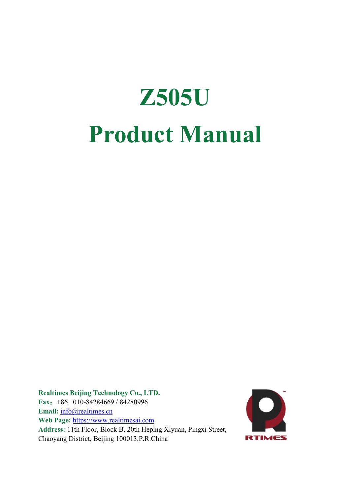# **Z505U Product Manual**

**Realtimes Beijing Technology Co., LTD. Fax**:+86 010-84284669 / 84280996 Email: [info@realtimes.cn](mailto:info@realtimes.cn) **Web Page:** <https://www.realtimesai.com> **Address:** 11th Floor, Block B, 20th Heping Xiyuan, Pingxi Street, Chaoyang District, Beijing 100013,P.R.China

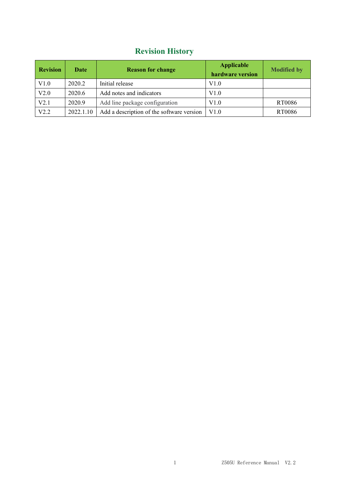## **Revision History**

| <b>Revision</b> | Date      | <b>Reason for change</b>                  | <b>Applicable</b><br>hardware version | <b>Modified by</b> |
|-----------------|-----------|-------------------------------------------|---------------------------------------|--------------------|
| V1.0            | 2020.2    | Initial release                           | V1.0                                  |                    |
| V2.0            | 2020.6    | Add notes and indicators                  | V1.0                                  |                    |
| V2.1            | 2020.9    | Add line package configuration            | V1.0                                  | RT0086             |
| V2.2            | 2022.1.10 | Add a description of the software version | V1.0                                  | RT0086             |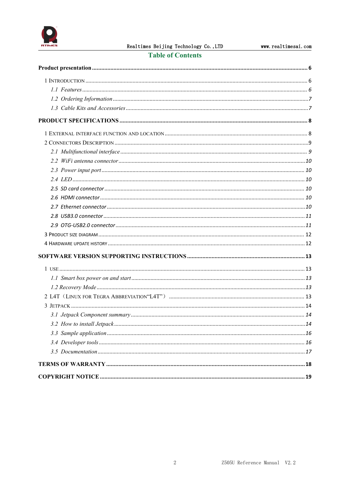

#### **Table of Contents**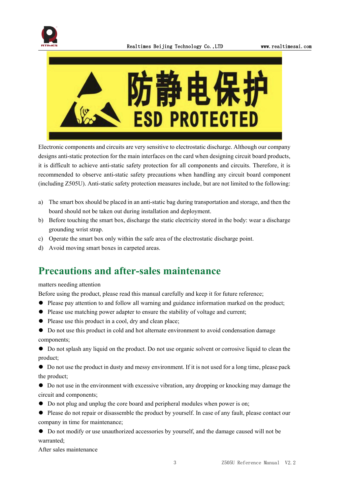



Electronic components and circuits are very sensitive to electrostatic discharge. Although our company designs anti-static protection for the main interfaces on the card when designing circuit board products, it is difficult to achieve anti-static safety protection for all components and circuits. Therefore, it is recommended to observe anti-static safety precautions when handling any circuit board component (including Z505U). Anti-static safety protection measures include, but are not limited to the following:

- a) The smart box should be placed in an anti-static bag during transportation and storage, and then the board should not be taken out during installation and deployment.
- b) Before touching the smart box, discharge the static electricity stored in the body: wear a discharge grounding wrist strap.
- c) Operate the smart box only within the safe area of the electrostatic discharge point.
- d) Avoid moving smart boxes in carpeted areas.

## **Precautions and after-sales maintenance**

#### matters needing attention

Before using the product, please read this manual carefully and keep it for future reference;

- ⚫ Please pay attention to and follow all warning and guidance information marked on the product;
- ⚫ Please use matching power adapter to ensure the stability of voltage and current;
- ⚫ Please use this product in a cool, dry and clean place;
- ⚫ Do not use this product in cold and hot alternate environment to avoid condensation damage components;

⚫ Do not splash any liquid on the product. Do not use organic solventor corrosive liquid to clean the product;

⚫ Do not use the product in dusty and messy environment. If it is not used for a long time, please pack the product;

⚫ Do not use in the environment with excessive vibration, any dropping or knocking may damage the circuit and components;

- ⚫ Do not plug and unplug the core board and peripheral modules when power is on;
- $\bullet$  Please do not repair or disassemble the product by yourself. In case of any fault, please contact our company in time for maintenance;
- ⚫ Do not modify or use unauthorized accessories by yourself, and the damage caused will not be warranted;

After sales maintenance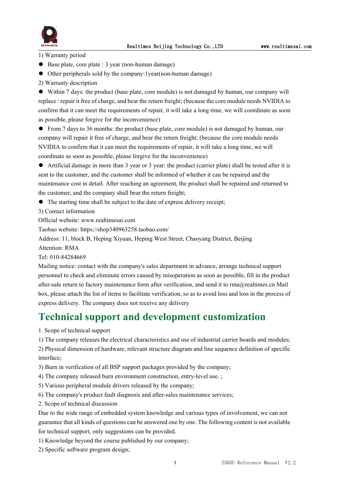

1) Warranty period

- Base plate, core plate : 3 year (non-human damage)
- ⚫ Other peripherals sold by the company:1year(non-human damage)
- 2) Warranty description

⚫ Within 7 days: the product (base plate, core module) is not damaged by human, our company will replace / repair it free of charge, and bear the return freight; (because the core module needs NVIDIA to confirm that it can meet the requirements of repair, it will take a long time, we will coordinate as soon as possible, please forgive for the inconvenience)

⚫ From 7 daysto 36 months: the product (base plate, core module) is not damaged by human, our company will repair it free of charge, and bear the return freight; (because the core module needs NVIDIA to confirm that it can meet the requirements of repair, it will take a long time, we will coordinate as soon as possible, please forgive for the inconvenience)

⚫ Artificial damage in more than 3 year or 3 year: the product (carrier plate) shall be tested after it is sent to the customer, and the customer shall be informed of whether it can be repaired and the maintenance cost in detail. After reaching an agreement, the product shall be repaired and returned to the customer, and the company shall bear the return freight;

● The starting time shall be subject to the date of express delivery receipt;

3) Contact information

Official website: www.realtimesai.com

Taobao website: https://shop340963258.taobao.com/

Address: 11, block B, Heping Xiyuan, Heping West Street, Chaoyang District, Beijing

Attention: RMA

Tel: 010-84284669

Mailing notice: contact with the company's sales department in advance, arrange technical support personnel to check and eliminate errors caused by misoperation as soon as possible, fill in the product after-sale return to factory maintenance form after verification, and send it to rma@realtimes.cn Mail box, please attach the list of items to facilitate verification, so as to avoid loss and loss in the process of express delivery. The company does not receive any delivery

## **Technical support and development customization**

1. Scope of technical support

1) The company releases the electrical characteristics and use of industrial carrier boards and modules;

2) Physical dimension of hardware, relevant structure diagram and line sequence definition of specific interface;

3) Burn in verification of all BSP support packages provided by the company;

4) The company released burn environment construction, entry-level use. ;

5) Various peripheral module drivers released by the company;

6) The company's product fault diagnosis and after-sales maintenance services;

2. Scope of technical discussion

Due to the wide range of embedded system knowledge and various types ofinvolvement, we can not guarantee that all kinds of questions can be answered one by one.The following content is not available for technical support, only suggestions can be provided.

1) Knowledge beyond the course published by our company;

2) Specific software program design;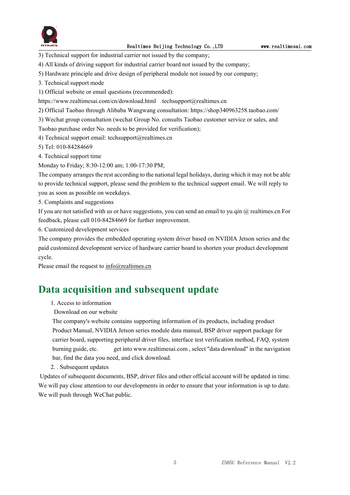

3) Technical support for industrial carrier not issued by the company;

- 4) All kinds of driving support for industrial carrier board not issued by the company;
- 5) Hardware principle and drive design of peripheral module not issued by our company;
- 3. Technical support mode
- 1) Official website or email questions (recommended):
- https://www.realtimesai.com/cn/download.html techsupport@realtimes.cn
- 2) Official Taobao through Alibaba Wangwang consultation: https://shop340963258.taobao.com/
- 3) Wechat group consultation (wechat Group No. consults Taobao customer service or sales, and
- Taobao purchase order No. needs to be provided for verification);
- 4) Technical support email: techsupport@realtimes.cn
- 5) Tel: 010-84284669
- 4. Technical support time
- Monday to Friday; 8:30-12:00 am; 1:00-17:30 PM;

The company arranges the rest according to the national legal holidays, during which it may notbe able to provide technical support, please send the problem to the technical support email. We will reply to you as soon as possible on weekdays.

5. Complaints and suggestions

If you are not satisfied with us or have suggestions, you can send an email to yu.qin  $@$  realtimes.cn For feedback, please call 010-84284669 for further improvement.

6. Customized development services

The company provides the embedded operating system driver based on NVIDIA Jetson series and the paid customized development service of hardware carrier board to shorten your product development cycle.

Please email the request to  $info@realtimes.cn$ 

## **Data acquisition and subsequent update**

- 1. Access to information
- Download on our website

The company's website contains supporting information of its products, including product Product Manual, NVIDIA Jetson series module data manual, BSP driver support package for carrier board, supporting peripheral driver files, interface test verification method, FAQ, system burning guide, etc. get into www.realtimesai.com , select "data download" in the navigation bar, find the data you need, and click download.

2. . Subsequent updates

Updates of subsequent documents, BSP, driver files and other official account will be updated in time. We will pay close attention to our developments in order to ensure that your information is up to date. We will push through WeChat public.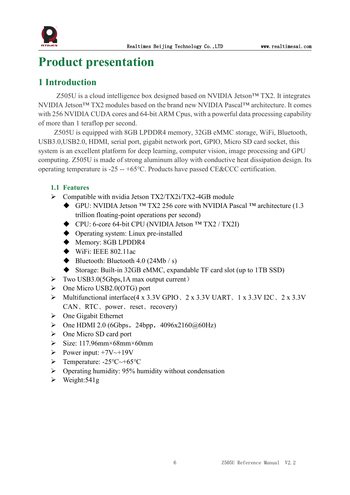

## <span id="page-6-0"></span>**Product presentation**

## <span id="page-6-1"></span>**1 Introduction**

Z505U is a cloud intelligence box designed based on NVIDIA Jetson™ TX2. It integrates NVIDIA Jetson<sup>™</sup> TX2 modules based on the brand new NVIDIA Pascal™ architecture. It comes with 256 NVIDIA CUDA cores and 64-bit ARM Cpus, with a powerful data processing capability of more than 1 teraflop per second.<br>Z505U is equipped with 8GB LPDDR4 memory, 32GB eMMC storage, WiFi, Bluetooth,

USB3.0,USB2.0, HDMI, serial port, gigabit network port, GPIO, Micro SD card socket, this system is an excellent platform for deep learning, computer vision, image processing and GPU computing. Z505U is made of strong aluminum alloy with conductive heat dissipation design. Its operating temperature is -25 -- +65℃. Products have passed CE&CCC certification.

#### <span id="page-6-2"></span>**1.1 Features**

- $\triangleright$  Compatible with nvidia Jetson TX2/TX2i/TX2-4GB module
	- GPU: NVIDIA Jetson ™ TX2 256 core with NVIDIA Pascal ™ architecture (1.3 trillion floating-point operations per second)
	- CPU: 6-core 64-bit CPU (NVIDIA Jetson ™ TX2 / TX2I)
	- ◆ Operating system: Linux pre-installed
	- ◆ Memory: 8GB LPDDR4
	- $\blacklozenge$  WiFi: IEEE 802.11ac
	- $\blacklozenge$  Bluetooth: Bluetooth 4.0 (24Mb / s)
	- Storage: Built-in 32GB eMMC, expandable TF card slot (up to 1TB SSD)
- $\triangleright$  Two USB3.0(5Gbps, 1A max output current)
- $\triangleright$  One Micro USB2.0(OTG) port
- Multifunctional interface(4 x 3.3V GPIO、2 x 3.3V UART、1 x 3.3V I2C、2 x 3.3V CAN、RTC、power、reset、recovery)
- $\triangleright$  One Gigabit Ethernet
- $\triangleright$  One HDMI 2.0 (6Gbps, 24bpp, 4096x2160 $@60Hz$ )
- One Micro SD card port
- $\triangleright$  Size: 117.96mm×68mm×60mm
- Power input:  $+7V \rightarrow +19V$
- Temperature: -25℃~+65℃
- $\triangleright$  Operating humidity: 95% humidity without condensation
- $\triangleright$  Weight: 541g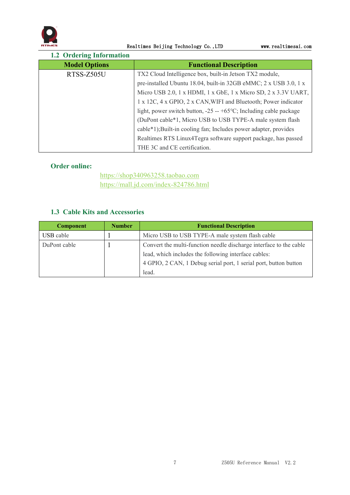

Realtimes Beijing Technology Co., LTD www.realtimesai.com

<span id="page-7-0"></span>

| <b>1.2 Ordering Information</b>                                 |                                                                            |  |
|-----------------------------------------------------------------|----------------------------------------------------------------------------|--|
| <b>Model Options</b>                                            | <b>Functional Description</b>                                              |  |
| RTSS-Z505U                                                      | TX2 Cloud Intelligence box, built-in Jetson TX2 module,                    |  |
|                                                                 | pre-installed Ubuntu 18.04, built-in 32GB eMMC; 2 x USB 3.0, 1 x           |  |
|                                                                 | Micro USB 2.0, 1 x HDMI, 1 x GbE, 1 x Micro SD, 2 x 3.3V UART,             |  |
| 1 x 12C, 4 x GPIO, 2 x CAN, WIFI and Bluetooth; Power indicator |                                                                            |  |
|                                                                 | light, power switch button, $-25 - +65^{\circ}$ C; Including cable package |  |
|                                                                 | (DuPont cable*1, Micro USB to USB TYPE-A male system flash)                |  |
|                                                                 | cable*1);Built-in cooling fan; Includes power adapter, provides            |  |
|                                                                 | Realtimes RTS Linux4Tegra software support package, has passed             |  |
|                                                                 | THE 3C and CE certification.                                               |  |

#### **Order online:**

<https://shop340963258.taobao.com> <https://mall.jd.com/index-824786.html>

#### <span id="page-7-1"></span>**1.3 Cable Kits and Accessories**

| <b>Component</b> | <b>Number</b> | <b>Functional Description</b>                                      |  |
|------------------|---------------|--------------------------------------------------------------------|--|
| USB cable        |               | Micro USB to USB TYPE-A male system flash cable                    |  |
| DuPont cable     |               | Convert the multi-function needle discharge interface to the cable |  |
|                  |               | lead, which includes the following interface cables:               |  |
|                  |               | 4 GPIO, 2 CAN, 1 Debug serial port, 1 serial port, button button   |  |
|                  |               | lead.                                                              |  |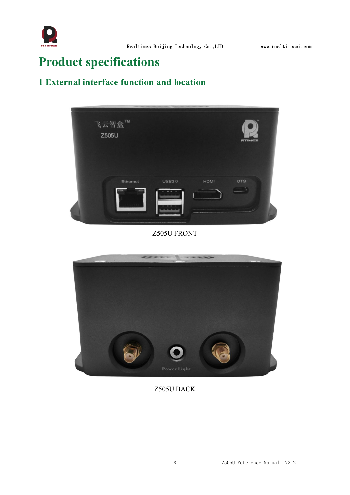

# <span id="page-8-0"></span>**Product specifications**

## <span id="page-8-1"></span>**1 External interface function and location**



#### Z505U FRONT



Z505U BACK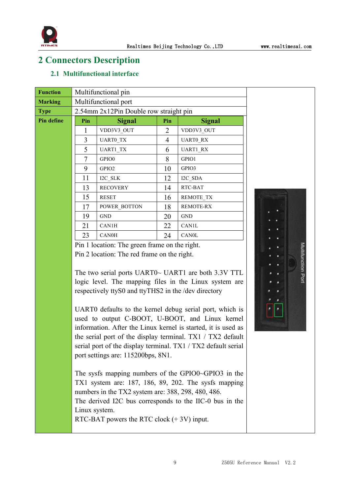

## <span id="page-9-0"></span>**2 Connectors Description**

#### <span id="page-9-1"></span>**2.1 Multifunctional interface**

| <b>Function</b> |     | Multifunctional pin                    |     |                  |  |
|-----------------|-----|----------------------------------------|-----|------------------|--|
| <b>Marking</b>  |     | Multifunctional port                   |     |                  |  |
| <b>Type</b>     |     | 2.54mm 2x12Pin Double row straight pin |     |                  |  |
| Pin define      | Pin | <b>Signal</b>                          | Pin | <b>Signal</b>    |  |
|                 | 1   | VDD3V3_OUT                             | 2   | VDD3V3_OUT       |  |
|                 | 3   | UART0 TX                               | 4   | UART0 RX         |  |
|                 | 5   | UART1_TX                               | 6   | UART1_RX         |  |
|                 | 7   | GPIO0                                  | 8   | GPIO1            |  |
|                 | 9   | GPIO2                                  | 10  | GPIO3            |  |
|                 | 11  | I2C_SLK                                | 12  | I2C SDA          |  |
|                 | 13  | <b>RECOVERY</b>                        | 14  | RTC-BAT          |  |
|                 | 15  | RESET                                  | 16  | REMOTE_TX        |  |
|                 | 17  | POWER BOTTON                           | 18  | <b>REMOTE-RX</b> |  |
|                 | 19  | <b>GND</b>                             | 20  | <b>GND</b>       |  |
|                 | 21  | CAN1H                                  | 22  | CAN1L            |  |
|                 | 23  | <b>CAN0H</b>                           | 24  | CANOL            |  |
|                 |     |                                        |     |                  |  |

Pin 1 location: The green frame on the right. Pin 2 location: The red frame on the right.

Pin 1 location: The green frame on the right.<br>
Pin 2 location: The red frame on the right.<br>
The two serial ports UART0~ UART1 are both 3.3V TTL<br>
logic level. The manning files in the Linux system are logic level. The mapping files in the Linux system are respectively ttyS0 and ttyTHS2 in the /dev directory

UART0 defaults to the kernel debug serial port, which is used to output C-BOOT, U-BOOT, and Linux kernel information. After the Linux kernel is started, it is used as the serial port of the display terminal. TX1 / TX2 default serial port of the display terminal. TX1 / TX2 default serial port settings are: 115200bps, 8N1.

The sysfs mapping numbers of the GPIO0~GPIO3 in the TX1 system are: 187, 186, 89, 202. The sysfs mapping numbers in the TX2 system are: 388, 298, 480, 486. The derived I2C bus corresponds to the IIC-0 bus in the Linux system.

RTC-BAT powers the RTC clock (+ 3V) input.

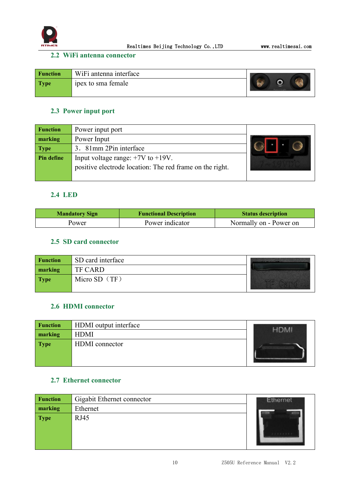

#### <span id="page-10-0"></span>**2.2 WiFi antenna connector**

| <b>Function</b> | WiFi antenna interface |             |
|-----------------|------------------------|-------------|
| <b>Type</b>     | ipex to sma female     | Power Light |

#### <span id="page-10-1"></span>**2.3 Power input port**

| <b>Function</b> | Power input port                                         |  |
|-----------------|----------------------------------------------------------|--|
| marking         | Power Input                                              |  |
| <b>Type</b>     | 3. 81mm 2Pin interface                                   |  |
| Pin define      | Input voltage range: $+7V$ to $+19V$ .                   |  |
|                 | positive electrode location: The red frame on the right. |  |
|                 |                                                          |  |

#### <span id="page-10-2"></span>**2.4 LED**

| <b>Mandatory Sign</b> | <b>Functional Description</b> | <b>Status description</b> |
|-----------------------|-------------------------------|---------------------------|
| Power                 | Power indicator               | Normally on - Power on    |

#### <span id="page-10-3"></span>**2.5 SD card connector**

| <b>Function</b> | SD card interface |  |
|-----------------|-------------------|--|
| marking         | <b>TF CARD</b>    |  |
| <b>Type</b>     | Micro SD $(TF)$   |  |

#### <span id="page-10-4"></span>**2.6 HDMI connector**

| <b>Function</b> | HDMI output interface |  |
|-----------------|-----------------------|--|
| marking         | <b>HDMI</b>           |  |
| <b>Type</b>     | HDMI connector        |  |

#### <span id="page-10-5"></span>**2.7 Ethernet connector**

| <b>Function</b> | Gigabit Ethernet connector | <b>Ethernet</b> |
|-----------------|----------------------------|-----------------|
| marking         | Ethernet                   |                 |
| <b>Type</b>     | RJ45                       |                 |
|                 |                            |                 |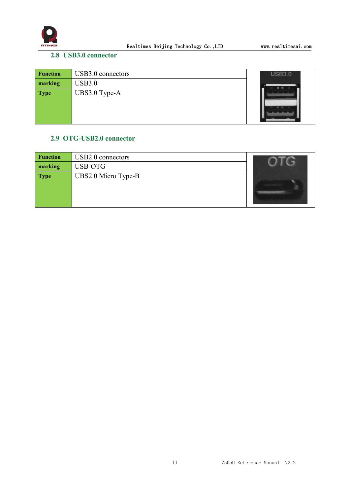

#### <span id="page-11-0"></span>**2.8 USB3.0 connector**

| <b>Function</b> | USB3.0 connectors | USB3.0 |
|-----------------|-------------------|--------|
| marking         | USB3.0            |        |
| <b>Type</b>     | UBS3.0 Type-A     |        |

#### <span id="page-11-1"></span>**2.9 OTG-USB2.0 connector**

| <b>Function</b> | USB2.0 connectors   |  |
|-----------------|---------------------|--|
| marking         | USB-OTG             |  |
| <b>Type</b>     | UBS2.0 Micro Type-B |  |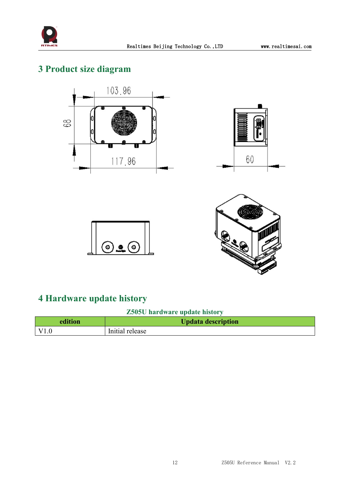

## <span id="page-12-0"></span>**3 Product size diagram**







## <span id="page-12-1"></span>**4 Hardware update history**

#### **Z505U hardware update history**

| edition           | <b>Updata description</b> |
|-------------------|---------------------------|
| $\overline{V1.0}$ | Initial release           |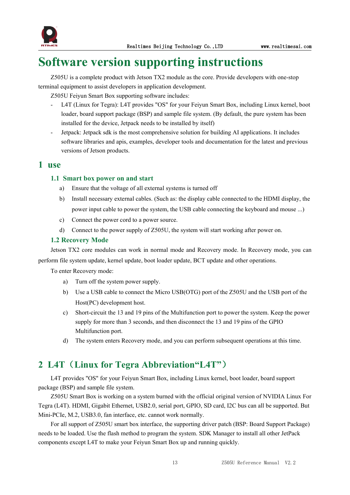

# <span id="page-13-0"></span>**Software version supporting instructions**

Z505U is a complete product with Jetson TX2 module asthe core. Provide developers with one-stop terminal equipment to assist developers in application development.

Z505U Feiyun Smart Box supporting software includes:

- L4T (Linux for Tegra): L4T provides "OS" for your Feiyun Smart Box, including Linux kernel, boot loader, board support package (BSP) and sample file system. (By default, the pure system has been installed for the device, Jetpack needs to be installed by itself)
- Jetpack: Jetpack sdk is the most comprehensive solution for building AI applications. It includes software libraries and apis, examples, developer tools and documentation for the latest and previous versions of Jetson products.

#### <span id="page-13-1"></span>**1 use**

#### <span id="page-13-2"></span>**1.1 Smartbox power on and start**

- a) Ensure that the voltage of all external systems is turned off
- b) Install necessary external cables. (Such as: the display cable connected to the HDMI display, the power input cable to power the system, the USB cable connecting the keyboard and mouse ...)
- c) Connect the power cord to a power source.
- d) Connect to the power supply of Z505U, the system will start working after power on.

#### <span id="page-13-3"></span>**1.2 Recovery Mode**

Jetson TX2 core modules can work in normal mode and Recovery mode. In Recovery mode, you can perform file system update, kernel update, boot loader update, BCT update and other operations.

To enter Recovery mode:

- a) Turn off the system power supply.
- b) Use a USB cable to connect the Micro USB(OTG) port of the Z505U and the USB port of the Host(PC) development host.
- c) Short-circuit the 13 and 19 pins ofthe Multifunction port to power the system. Keep the power supply for more than 3 seconds, and then disconnect the 13 and 19 pins of the GPIO Multifunction port.
- d) The system enters Recovery mode, and you can perform subsequent operations at this time.

## <span id="page-13-4"></span>**2 L4T**(**Linux for Tegra Abbreviation"L4T"**)

L4T provides "OS" for your Feiyun Smart Box, including Linux kernel, boot loader, board support package (BSP) and sample file system.

Z505U Smart Box is working on a system burned with the officialoriginal version of NVIDIA Linux For Tegra (L4T). HDMI, Gigabit Ethernet, USB2.0, serial port, GPIO, SD card, I2C bus can all be supported. But Mini-PCIe, M.2, USB3.0, fan interface, etc. cannot work normally.

For all support of Z505U smart box interface, the supporting driver patch (BSP: Board Support Package) needs to be loaded. Use the flash method to program the system. SDK Manager to install all other JetPack components except L4T to make your Feiyun Smart Box up and running quickly.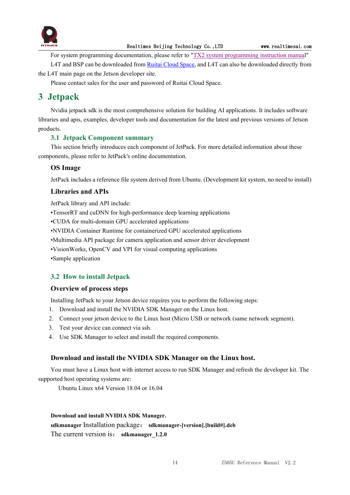

For system [programming](http://yun.realtimes.cn/) documentation, please refer to "TX2 system programming instruction manual"

L4T and BSP can be downloaded from Ruitai [Cloud](yun.realtimes.cn) Space, and L4T can also be downloaded directly from the L4T main page on the Jetson developer site.

Please contact sales for the user and password of Ruitai Cloud Space.

## <span id="page-14-0"></span>**3 Jetpack**

Nvidia jetpack sdk is the most comprehensive solution for building AI applications. It includes software libraries and apis, examples, developer tools and documentation for the latest and previous versions of Jetson products.

#### <span id="page-14-1"></span>**3.1 Jetpack Component summary**

This section briefly introduces each component of JetPack. For more detailed information about these components, please refer to JetPack's online documentation.

#### **OS Image**

JetPack includes a reference file system derived from Ubuntu. (Development kit system, no need to install)

#### **Libraries and APIs**

JetPack library and API include:

•TensorRT and cuDNN for high-performance deep learning applications

•CUDA for multi-domain GPU accelerated applications

•NVIDIA Container Runtime for containerized GPU accelerated applications

•Multimedia API package for camera application and sensor driver development

•VisionWorks, OpenCV and VPI for visual computing applications

•Sample application

#### <span id="page-14-2"></span>**3.2 How to install Jetpack**

#### **Overview of process steps**

Installing JetPack to your Jetson device requires you to perform the following steps:

- 1. Download and install the NVIDIA SDK Manager on the Linux host.
- 2. Connect your jetson device to the Linux host (Micro USB or network (same network segment).
- 3. Test your device can connect via ssh.
- 4. Use SDK Manager to select and install the required components.

#### **Download and install the NVIDIA SDK Manager on the Linux host.**

You must have a Linux host with internet access to run SDK Manager and refresh the developer kit.The supported host operating systems are:

Ubuntu Linux x64 Version 18.04 or 16.04

#### **Download and install NVIDIA SDK Manager.**

**sdkmanager** Installation package: **sdkmanager-[version].[build#].deb** The current version is: **sdkmanager** 1.2.0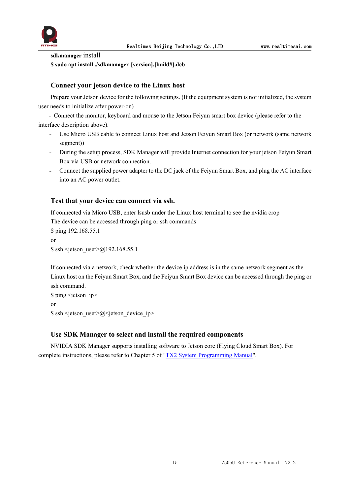

**sdkmanager** install **\$ sudo apt install ./sdkmanager-[version].[build#].deb**

#### **Connect your jetson device to the Linux host**

Prepare your Jetson device for the following settings. (If the equipment system is not initialized, the system user needs to initialize after power-on)

- Connect the monitor, keyboard and mouse to the Jetson Feiyun smart box device (please refer to the interface description above).

- Use Micro USB cable to connect Linux host and Jetson Feiyun Smart Box (or network (same network segment))
- During the setup process, SDK Manager will provide Internet connection for your jetson Feiyun Smart Box via USB or network connection.
- Connect the supplied power adapter to the DC jack of the Feiyun Smart Box, and plug the AC interface into an AC power outlet.

#### **Test that your device can connect via ssh.**

If connected via Micro USB, enter lsusb under the Linux host terminal to see the nvidia crop The device can be accessed through ping or ssh commands

\$ ping 192.168.55.1 or  $$ sh *jetson* user $\gtrsim \gtrsim \gtrsim 192.168.55.1$$ 

If connected via a network, check whether the device ip address is in the same network segment as the Linux host on the Feiyun Smart Box, and the Feiyun Smart Box device can be accessed through the ping or ssh command.

\$ ping <jetson ip> or  $\$  ssh <jetson user> $@$  <jetson device ip>

#### **Use SDK Manager to select and install the required components**

NVIDIA SDK Manager supports installing software to Jetson core (Flying Cloud Smart Box). For complete instructions, please refer to Chapter 5 of "TX2 System [Programming](http://yun.realtimes.cn/) Manual".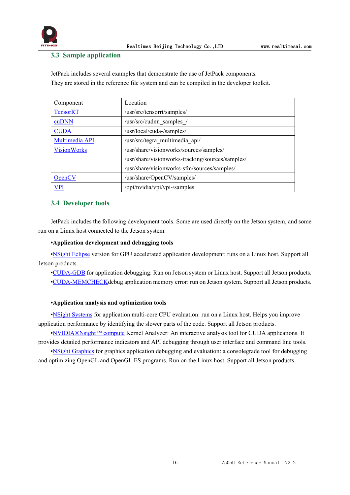

#### <span id="page-16-0"></span>**3.3 Sample application**

JetPack includes several examples that demonstrate the use of JetPack components. They are stored in the reference file system and can be compiled in the developer toolkit.

| Component          | Location                                         |
|--------------------|--------------------------------------------------|
| <b>TensorRT</b>    | /usr/src/tensorrt/samples/                       |
| cuDNN              | /usr/src/cudnn samples /                         |
| <b>CUDA</b>        | /usr/local/cuda-/samples/                        |
| Multimedia API     | /usr/src/tegra multimedia api/                   |
| <b>VisionWorks</b> | /usr/share/visionworks/sources/samples/          |
|                    | /usr/share/visionworks-tracking/sources/samples/ |
|                    | /usr/share/visionworks-sfm/sources/samples/      |
| <b>OpenCV</b>      | /usr/share/OpenCV/samples/                       |
| <b>VPI</b>         | /opt/nvidia/vpi/vpi-/samples                     |

#### <span id="page-16-1"></span>**3.4 Developer tools**

JetPack includes the following development tools. Some are used directly on the Jetson system, and some run on a Linux host connected to the Jetson system.

#### **•Application development and debugging tools**

•NSight [Eclipse](https://developer.nvidia.com/nsight-eclipse-edition) version for GPU accelerated application development: runs on a Linux host. Support all Jetson products.

•[CUDA-GDB](https://developer.nvidia.com/cuda-gdb) for application debugging: Run on Jetson system or Linux host. Support all Jetson products. •[CUDA-MEMCHECKd](https://developer.nvidia.com/CUDA-MEMCHECK)ebug application memory error: run on Jetson system. Support all Jetson products.

#### **•Application analysis and optimization tools**

•NSight [Systems](https://developer.nvidia.com/nsight-systems) for application multi-core CPU evaluation: run on a Linux host. Helps you improve application performance by identifying the slower parts of the code. Support all Jetson products.

•[NVIDIA®Nsight™](https://developer.nvidia.com/nsight-compute) compute Kernel Analyzer: An interactive analysis tool for CUDA applications. It provides detailed performance indicators and API debugging through user interface and command line tools.

•NSight [Graphics](https://developer.nvidia.com/nsight-graphics) for graphics application debugging and evaluation: a consolegrade tool for debugging and optimizing OpenGL and OpenGL ES programs. Run on the Linux host. Support all Jetson products.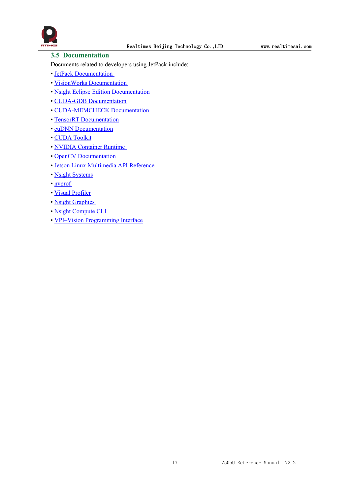

#### <span id="page-17-0"></span>**3.5 Documentation**

Documents related to developers using JetPack include:

- JetPack [Documentation](https://docs.nvidia.com/jetson/jetpack/index.html)
- VisionWorks [Documentation](https://developer.nvidia.com/embedded/visionworks)
- Nsight Eclipse Edition [Documentation](https://docs.nvidia.com/cuda/nsight-eclipse-edition-getting-started-guide/index.html)
- CUDA-GDB [Documentation](http://docs.nvidia.com/cuda/cuda-gdb/index.html)
- [CUDA-MEMCHECK](http://docs.nvidia.com/cuda/cuda-memcheck/index.html) Documentation
- TensorRT [Documentation](https://docs.nvidia.com/deeplearning/sdk/tensorrt-developer-guide/index.html)
- cuDNN [Documentation](https://docs.nvidia.com/deeplearning/sdk/cudnn-developer-guide/index.html)
- CUDA [Toolkit](https://docs.nvidia.com/cuda/index.html)
- NVIDIA [Container](https://www.google.com/url?q=https://github.com/NVIDIA/nvidia-docker/wiki%23platform-support&sa=D&ust=1562106101392000&usg=AFQjCNG6YZBlyXRWjcpGIYF8fkBkYt9RsA) Runtime
- OpenCV [Documentation](https://developer.nvidia.com/opencv)
- Jetson Linux [Multimedia](https://docs.nvidia.com/jetson/l4t-multimedia/index.html) API Reference
- Nsight [Systems](https://docs.nvidia.com/nsight-systems/index.html)
- [nvprof](https://docs.nvidia.com/cuda/profiler-users-guide/index.html)
- Visual [Profiler](http://docs.nvidia.com/cuda/profiler-users-guide/index.html)
- Nsight [Graphics](https://docs.nvidia.com/nsight-graphics/index.html)
- Nsight [Compute](https://docs.nvidia.com/nsight-compute/NsightComputeCli/index.html) CLI
- VPI–Vision [Programming](https://docs.nvidia.com/vpi/index.html) Interface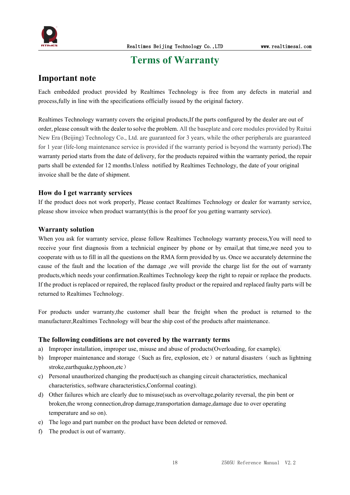

## <span id="page-18-0"></span>**Terms** of Warranty

#### **Important note**

Each embedded product provided by Realtimes Technology is free from any defects in material and process,fully in line with the specifications officially issued by the original factory.

Realtimes Technology warranty covers the original products,If the parts configured by the dealer are out of order, please consultwith the dealer to solve the problem. All the baseplate and core modules provided by Ruitai New Era (Beijing) Technology Co., Ltd. are guaranteed for 3 years, while the other peripherals are guaranteed for 1 year (life-long maintenance service is provided if the warranty period is beyond the warranty period).The warranty period starts from the date of delivery, for the products repaired within the warranty period, the repair parts shall be extended for 12 months. Unless notified by Realtimes Technology, the date of your original invoice shall be the date of shipment.

#### **How do I get warranty services**

If the product does not work properly, Please contact Realtimes Technology or dealer for warranty service, please show invoice when product warranty(this is the proof for you getting warranty service).

#### **Warranty solution**

When you ask for warranty service, please follow Realtimes Technology warranty process,You will need to receive your first diagnosis from a technicial engineer by phone or by email,at that time,we need you to cooperate with us to fill in all the questions on the RMA form provided by us. Once we accurately determine the cause of the fault and the location of the damage ,we will provide the charge list for the out of warranty products,which needs your confirmation.Realtimes Technology keep the right to repair or replace the products. If the product is replaced or repaired, the replaced faulty product or the repaired and replaced faulty parts will be returned to Realtimes Technology.

For products under warranty, the customer shall bear the freight when the product is returned to the manufacturer,Realtimes Technology will bear the ship cost of the products after maintenance.

#### **The following conditions are not covered by the warranty terms**

- a) Improper installation, improper use, misuse and abuse of products(Overloading, for example).
- b) Improper maintenance and storage (Such as fire, explosion, etc) or natural disasters (such as lightning stroke,earthquake,typhoon,etc)
- c) Personal unauthorized changing the product(such as changing circuit characteristics, mechanical characteristics, software characteristics,Conformal coating).
- d) Other failures which are clearly due to misuse(such as overvoltage,polarity reversal, the pin bent or broken,the wrong connection,drop damage,transportation damage,damage due to over operating temperature and so on).
- e) The logo and part number on the product have been deleted or removed.
- f) The product is out of warranty.